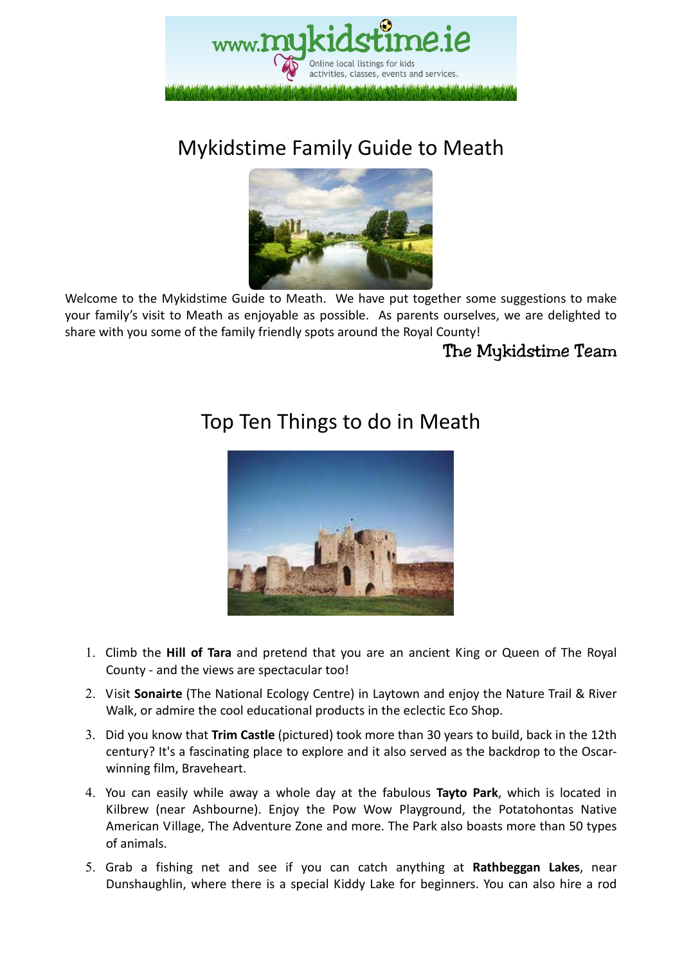

# Mykidstime Family Guide to Meath



Welcome to the Mykidstime Guide to Meath. We have put together some suggestions to make your family's visit to Meath as enjoyable as possible. As parents ourselves, we are delighted to share with you some of the family friendly spots around the Royal County!

### The Mykidstime Team

# Top Ten Things to do in Meath



- 1. Climb the **Hill of Tara** and pretend that you are an ancient King or Queen of The Royal County - and the views are spectacular too!
- 2. Visit **Sonairte** (The National Ecology Centre) in Laytown and enjoy the Nature Trail & River Walk, or admire the cool educational products in the eclectic Eco Shop.
- 3. Did you know that **Trim Castle** (pictured) took more than 30 years to build, back in the 12th century? It's a fascinating place to explore and it also served as the backdrop to the Oscarwinning film, Braveheart.
- 4. You can easily while away a whole day at the fabulous **Tayto Park**, which is located in Kilbrew (near Ashbourne). Enjoy the Pow Wow Playground, the Potatohontas Native American Village, The Adventure Zone and more. The Park also boasts more than 50 types of animals.
- 5. Grab a fishing net and see if you can catch anything at **Rathbeggan Lakes**, near Dunshaughlin, where there is a special Kiddy Lake for beginners. You can also hire a rod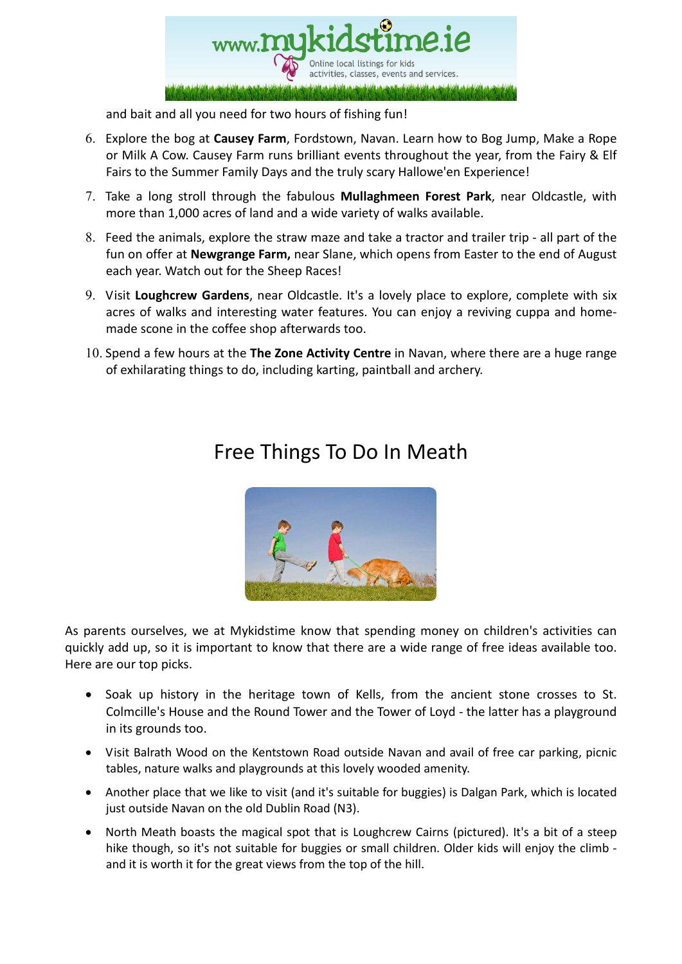

and bait and all you need for two hours of fishing fun!

- 6. Explore the bog at **Causey Farm**, Fordstown, Navan. Learn how to Bog Jump, Make a Rope or Milk A Cow. Causey Farm runs brilliant events throughout the year, from the Fairy & Elf Fairs to the Summer Family Days and the truly scary Hallowe'en Experience!
- 7. Take a long stroll through the fabulous **Mullaghmeen Forest Park**, near Oldcastle, with more than 1,000 acres of land and a wide variety of walks available.
- 8. Feed the animals, explore the straw maze and take a tractor and trailer trip all part of the fun on offer at **Newgrange Farm,** near Slane, which opens from Easter to the end of August each year. Watch out for the Sheep Races!
- 9. Visit **Loughcrew Gardens**, near Oldcastle. It's a lovely place to explore, complete with six acres of walks and interesting water features. You can enjoy a reviving cuppa and homemade scone in the coffee shop afterwards too.
- 10. Spend a few hours at the **The Zone Activity Centre** in Navan, where there are a huge range of exhilarating things to do, including karting, paintball and archery.



## Free Things To Do In Meath

As parents ourselves, we at Mykidstime know that spending money on children's activities can quickly add up, so it is important to know that there are a wide range of free ideas available too. Here are our top picks.

- Soak up history in the heritage town of Kells, from the ancient stone crosses to St. Colmcille's House and the Round Tower and the Tower of Loyd - the latter has a playground in its grounds too.
- Visit Balrath Wood on the Kentstown Road outside Navan and avail of free car parking, picnic tables, nature walks and playgrounds at this lovely wooded amenity.
- Another place that we like to visit (and it's suitable for buggies) is Dalgan Park, which is located just outside Navan on the old Dublin Road (N3).
- North Meath boasts the magical spot that is Loughcrew Cairns (pictured). It's a bit of a steep hike though, so it's not suitable for buggies or small children. Older kids will enjoy the climb and it is worth it for the great views from the top of the hill.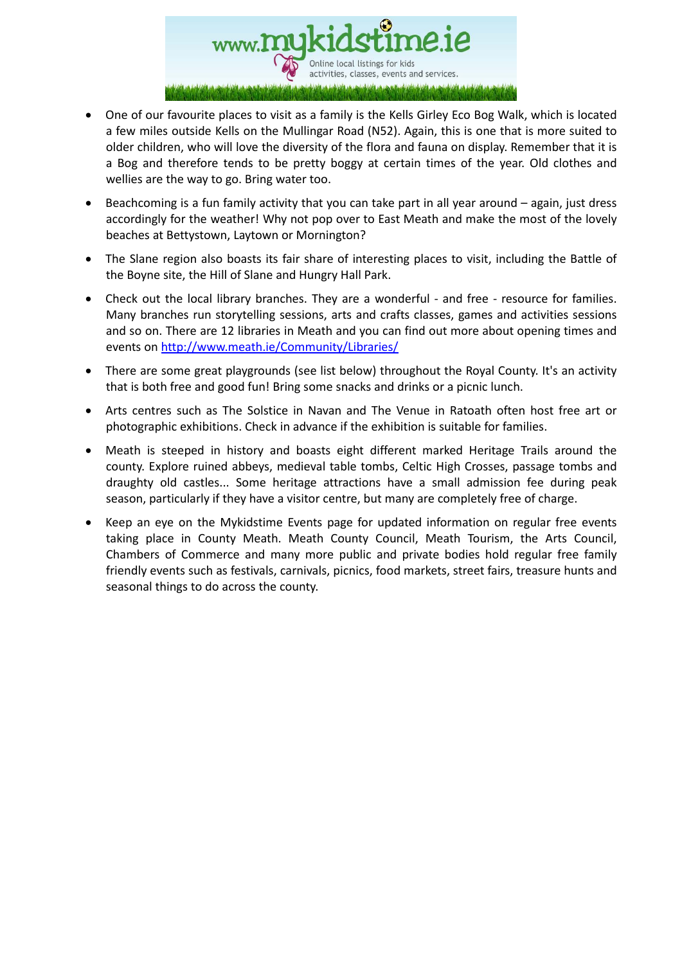

- One of our favourite places to visit as a family is the Kells Girley Eco Bog Walk, which is located a few miles outside Kells on the Mullingar Road (N52). Again, this is one that is more suited to older children, who will love the diversity of the flora and fauna on display. Remember that it is a Bog and therefore tends to be pretty boggy at certain times of the year. Old clothes and wellies are the way to go. Bring water too.
- Beachcoming is a fun family activity that you can take part in all year around again, just dress accordingly for the weather! Why not pop over to East Meath and make the most of the lovely beaches at Bettystown, Laytown or Mornington?
- The Slane region also boasts its fair share of interesting places to visit, including the Battle of the Boyne site, the Hill of Slane and Hungry Hall Park.
- Check out the local library branches. They are a wonderful and free resource for families. Many branches run storytelling sessions, arts and crafts classes, games and activities sessions and so on. There are 12 libraries in Meath and you can find out more about opening times and events on http://www.meath.ie/Community/Libraries/
- There are some great playgrounds (see list below) throughout the Royal County. It's an activity that is both free and good fun! Bring some snacks and drinks or a picnic lunch.
- Arts centres such as The Solstice in Navan and The Venue in Ratoath often host free art or photographic exhibitions. Check in advance if the exhibition is suitable for families.
- Meath is steeped in history and boasts eight different marked Heritage Trails around the county. Explore ruined abbeys, medieval table tombs, Celtic High Crosses, passage tombs and draughty old castles... Some heritage attractions have a small admission fee during peak season, particularly if they have a visitor centre, but many are completely free of charge.
- Keep an eye on the Mykidstime Events page for updated information on regular free events taking place in County Meath. Meath County Council, Meath Tourism, the Arts Council, Chambers of Commerce and many more public and private bodies hold regular free family friendly events such as festivals, carnivals, picnics, food markets, street fairs, treasure hunts and seasonal things to do across the county.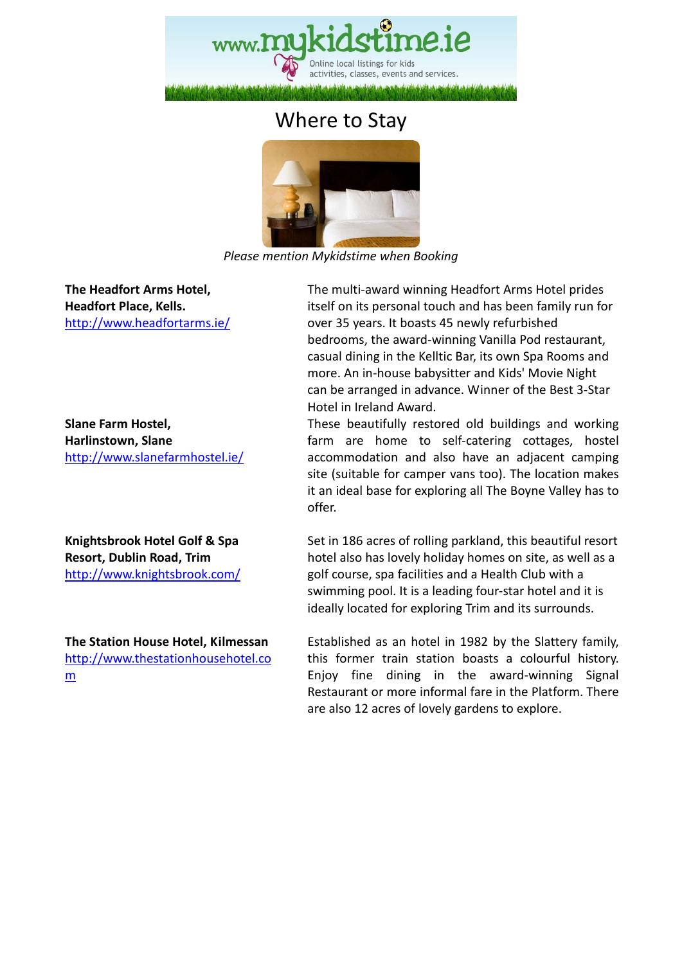

### Where to Stay



*Please mention Mykidstime when Booking* 

**The Headfort Arms Hotel, Headfort Place, Kells.**  http://www.headfortarms.ie/

**Slane Farm Hostel, Harlinstown, Slane**  http://www.slanefarmhostel.ie/

**Knightsbrook Hotel Golf & Spa Resort, Dublin Road, Trim**  http://www.knightsbrook.com/

**The Station House Hotel, Kilmessan**  http://www.thestationhousehotel.co m

 The multi-award winning Headfort Arms Hotel prides itself on its personal touch and has been family run for over 35 years. It boasts 45 newly refurbished bedrooms, the award-winning Vanilla Pod restaurant, casual dining in the Kelltic Bar, its own Spa Rooms and more. An in-house babysitter and Kids' Movie Night can be arranged in advance. Winner of the Best 3-Star Hotel in Ireland Award.

 These beautifully restored old buildings and working farm are home to self-catering cottages, hostel accommodation and also have an adjacent camping site (suitable for camper vans too). The location makes it an ideal base for exploring all The Boyne Valley has to offer.

 Set in 186 acres of rolling parkland, this beautiful resort hotel also has lovely holiday homes on site, as well as a golf course, spa facilities and a Health Club with a swimming pool. It is a leading four-star hotel and it is ideally located for exploring Trim and its surrounds.

 Established as an hotel in 1982 by the Slattery family, this former train station boasts a colourful history. Enjoy fine dining in the award-winning Signal Restaurant or more informal fare in the Platform. There are also 12 acres of lovely gardens to explore.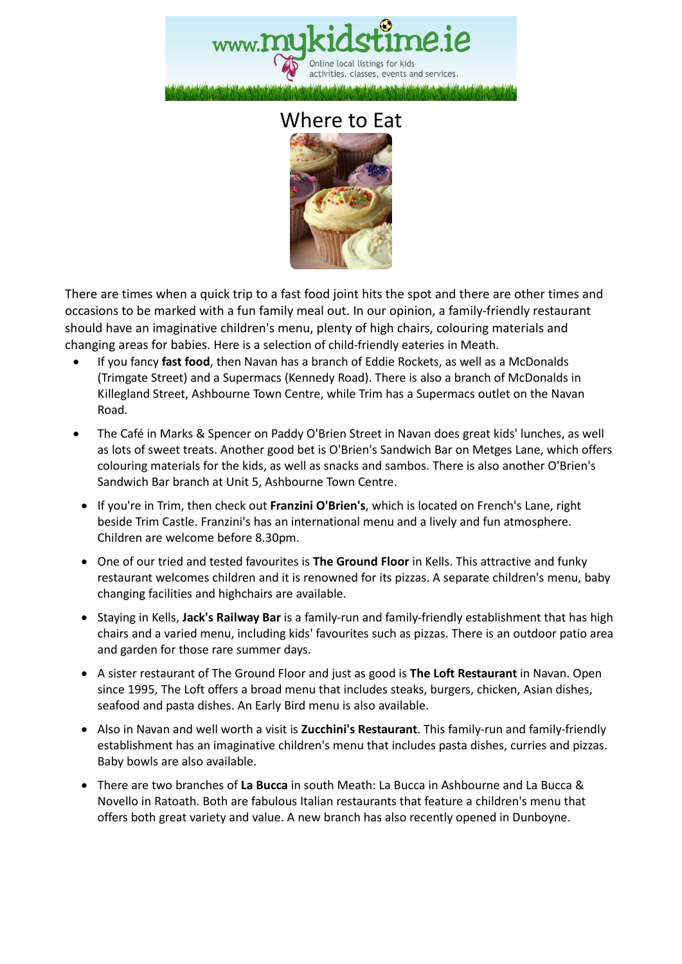

### Where to Eat



There are times when a quick trip to a fast food joint hits the spot and there are other times and occasions to be marked with a fun family meal out. In our opinion, a family-friendly restaurant should have an imaginative children's menu, plenty of high chairs, colouring materials and changing areas for babies. Here is a selection of child-friendly eateries in Meath.

- If you fancy **fast food**, then Navan has a branch of Eddie Rockets, as well as a McDonalds (Trimgate Street) and a Supermacs (Kennedy Road). There is also a branch of McDonalds in Killegland Street, Ashbourne Town Centre, while Trim has a Supermacs outlet on the Navan Road.
- The Café in Marks & Spencer on Paddy O'Brien Street in Navan does great kids' lunches, as well as lots of sweet treats. Another good bet is O'Brien's Sandwich Bar on Metges Lane, which offers colouring materials for the kids, as well as snacks and sambos. There is also another O'Brien's Sandwich Bar branch at Unit 5, Ashbourne Town Centre.
- If you're in Trim, then check out **Franzini O'Brien's**, which is located on French's Lane, right beside Trim Castle. Franzini's has an international menu and a lively and fun atmosphere. Children are welcome before 8.30pm.
- One of our tried and tested favourites is **The Ground Floor** in Kells. This attractive and funky restaurant welcomes children and it is renowned for its pizzas. A separate children's menu, baby changing facilities and highchairs are available.
- Staying in Kells, **Jack's Railway Bar** is a family-run and family-friendly establishment that has high chairs and a varied menu, including kids' favourites such as pizzas. There is an outdoor patio area and garden for those rare summer days.
- A sister restaurant of The Ground Floor and just as good is **The Loft Restaurant** in Navan. Open since 1995, The Loft offers a broad menu that includes steaks, burgers, chicken, Asian dishes, seafood and pasta dishes. An Early Bird menu is also available.
- Also in Navan and well worth a visit is **Zucchini's Restaurant**. This family-run and family-friendly establishment has an imaginative children's menu that includes pasta dishes, curries and pizzas. Baby bowls are also available.
- There are two branches of **La Bucca** in south Meath: La Bucca in Ashbourne and La Bucca & Novello in Ratoath. Both are fabulous Italian restaurants that feature a children's menu that offers both great variety and value. A new branch has also recently opened in Dunboyne.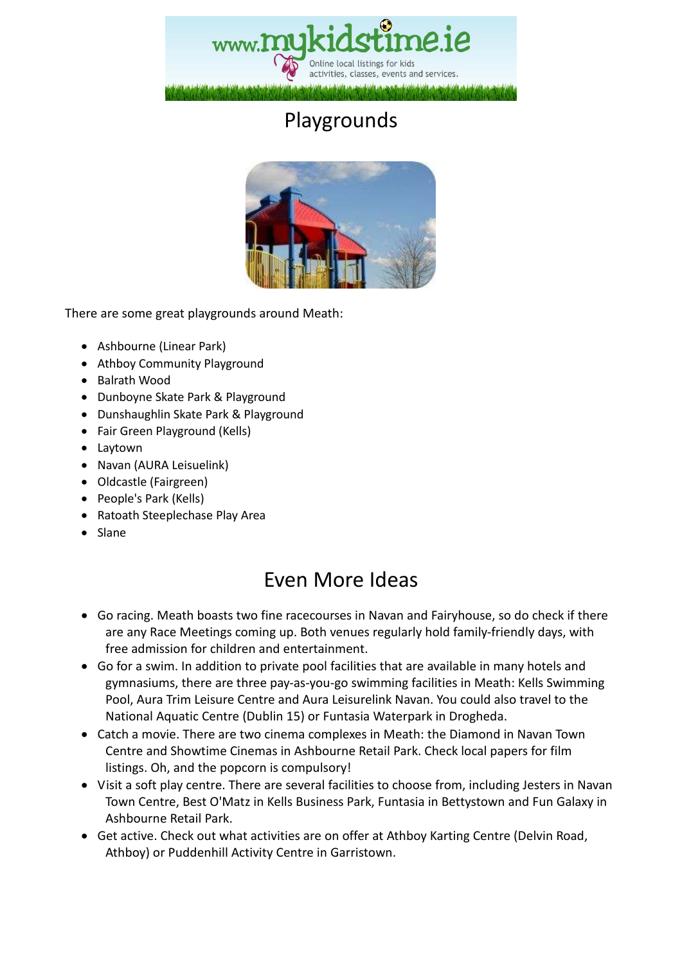

# Playgrounds



There are some great playgrounds around Meath:

- Ashbourne (Linear Park)
- Athboy Community Playground
- Balrath Wood
- Dunboyne Skate Park & Playground
- Dunshaughlin Skate Park & Playground
- Fair Green Playground (Kells)
- Laytown
- Navan (AURA Leisuelink)
- Oldcastle (Fairgreen)
- People's Park (Kells)
- Ratoath Steeplechase Play Area
- Slane

## Even More Ideas

- Go racing. Meath boasts two fine racecourses in Navan and Fairyhouse, so do check if there are any Race Meetings coming up. Both venues regularly hold family-friendly days, with free admission for children and entertainment.
- Go for a swim. In addition to private pool facilities that are available in many hotels and gymnasiums, there are three pay-as-you-go swimming facilities in Meath: Kells Swimming Pool, Aura Trim Leisure Centre and Aura Leisurelink Navan. You could also travel to the National Aquatic Centre (Dublin 15) or Funtasia Waterpark in Drogheda.
- Catch a movie. There are two cinema complexes in Meath: the Diamond in Navan Town Centre and Showtime Cinemas in Ashbourne Retail Park. Check local papers for film listings. Oh, and the popcorn is compulsory!
- Visit a soft play centre. There are several facilities to choose from, including Jesters in Navan Town Centre, Best O'Matz in Kells Business Park, Funtasia in Bettystown and Fun Galaxy in Ashbourne Retail Park.
- Get active. Check out what activities are on offer at Athboy Karting Centre (Delvin Road, Athboy) or Puddenhill Activity Centre in Garristown.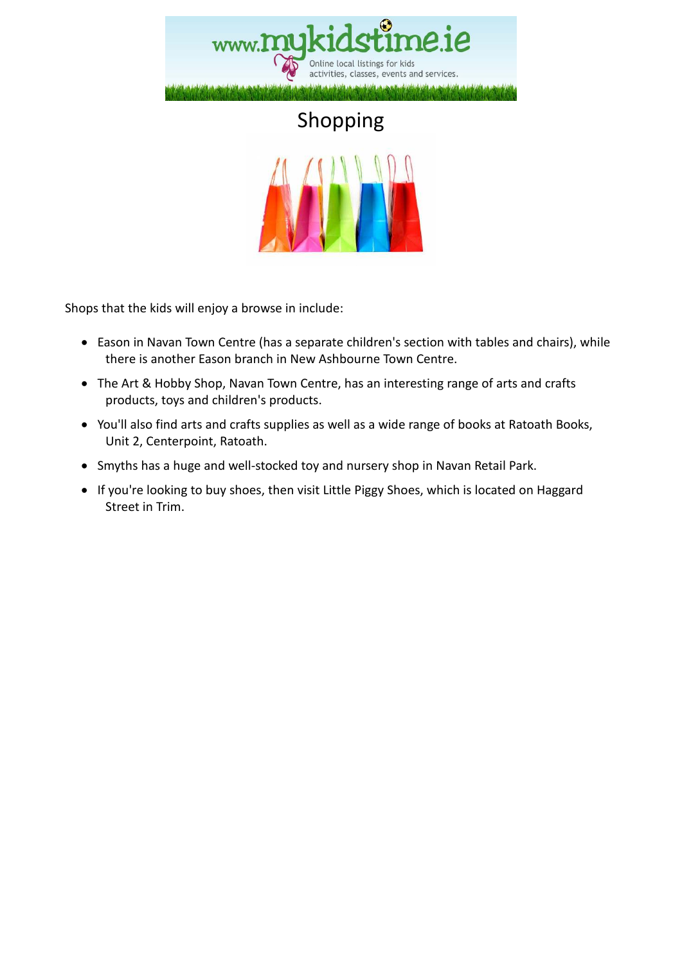

# Shopping



Shops that the kids will enjoy a browse in include:

- Eason in Navan Town Centre (has a separate children's section with tables and chairs), while there is another Eason branch in New Ashbourne Town Centre.
- The Art & Hobby Shop, Navan Town Centre, has an interesting range of arts and crafts products, toys and children's products.
- You'll also find arts and crafts supplies as well as a wide range of books at Ratoath Books, Unit 2, Centerpoint, Ratoath.
- Smyths has a huge and well-stocked toy and nursery shop in Navan Retail Park.
- If you're looking to buy shoes, then visit Little Piggy Shoes, which is located on Haggard Street in Trim.